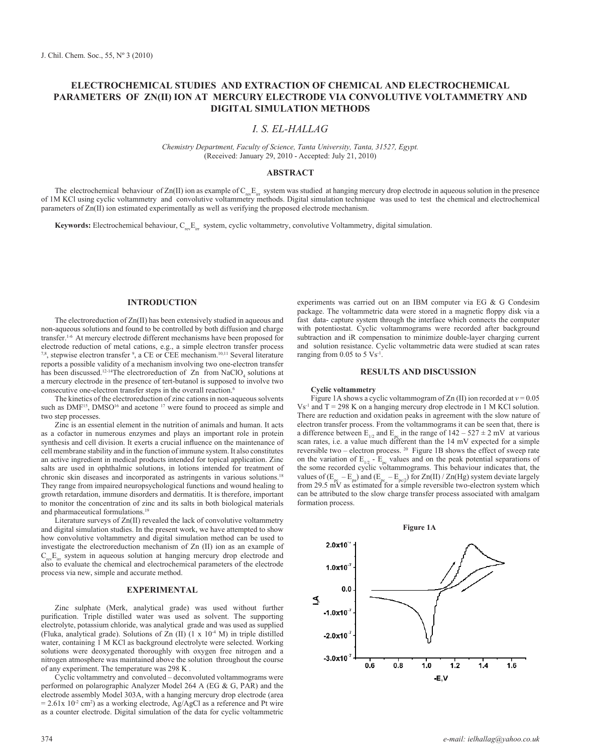# **Electrochemical studies and extraction of chemical and electrochemical parameters of Zn(II) ion at mercury Electrode via convolutive voltammetry and digital simulation methods**

# *I. S. El-HALLAG*

*Chemistry Department, Faculty of Science, Tanta University, Tanta, 31527, Egypt.* (Received: January 29, 2010 - Accepted: July 21, 2010)

## **ABSTRACT**

The electrochemical behaviour of Zn(II) ion as example of  $C_{\text{rev}}E_{\text{ir}}$  system was studied at hanging mercury drop electrode in aqueous solution in the presence of 1M KCl using cyclic voltammetry and convolutive voltammetry methods. Digital simulation technique was used to testthe chemical and electrochemical parameters of Zn(II) ion estimated experimentally as well as verifying the proposed electrode mechanism.

**Keywords:** Electrochemical behaviour, C<sub>rev</sub>E<sub>irr</sub> system, cyclic voltammetry, convolutive Voltammetry, digital simulation.

# **INTRODUCTION**

The electroreduction of Zn(II) has been extensively studied in aqueous and non-aqueous solutions and found to be controlled by both diffusion and charge transfer.1-6 At mercury electrode different mechanisms have been proposed for electrode reduction of metal cations, e.g., a simple electron transfer process 7,8, stepwise electron transfer 9 , a CE or CEE mechanism.10,11 Several literature reports a possible validity of a mechanism involving two one-electron transfer has been discussed.<sup>12-14</sup>The electroreduction of  $Zn$  from NaClO<sub>4</sub> solutions at a mercury electrode in the presence of tert-butanol is supposed to involve two consecutive one-electron transfer steps in the overall reaction.<sup>6</sup>

The kinetics of the electroreduction of zinc cations in non-aqueous solvents such as  $DMF^{15}$ ,  $DMSO^{16}$  and acetone  $17$  were found to proceed as simple and two step processes.

Zinc is an essential element in the nutrition of animals and human. It acts as a cofactor in numerous enzymes and plays an important role in protein synthesis and cell division. It exerts a crucial influence on the maintenance of cell membrane stability and in the function of immune system. It also constitutes an active ingredient in medical products intended for topical application. Zinc salts are used in ophthalmic solutions, in lotions intended for treatment of chronic skin diseases and incorporated as astringents in various solutions.<sup>18</sup> They range from impaired neuropsychological functions and wound healing to growth retardation, immune disorders and dermatitis. It is therefore, important to monitor the concentration of zinc and its salts in both biological materials and pharmaceutical formulations.19

Literature surveys of Zn(II) revealed the lack of convolutive voltammetry and digital simulation studies. In the present work, we have attempted to show how convolutive voltammetry and digital simulation method can be used to investigate the electroreduction mechanism of Zn (II) ion as an example of  $C_{\text{rec}}E_{\text{irr}}$  system in aqueous solution at hanging mercury drop electrode and also to evaluate the chemical and electrochemical parameters of the electrode process via new, simple and accurate method.

### **EXPERIMENTAL**

Zinc sulphate (Merk, analytical grade) was used without further purification. Triple distilled water was used as solvent. The supporting electrolyte, potassium chloride, was analytical grade and was used as supplied (Fluka, analytical grade). Solutions of  $Zn$  (II)  $(1 \times 10^{-4} \text{ M})$  in triple distilled water, containing 1 M KCl as background electrolyte were selected. Working solutions were deoxygenated thoroughly with oxygen free nitrogen and a nitrogen atmosphere was maintained above the solution throughout the course of any experiment. The temperature was 298 K .

Cyclic voltammetry and convoluted – deconvoluted voltammograms were performed on polarographic Analyzer Model 264 A (EG & G, PAR) and the electrode assembly Model 303A, with a hanging mercury drop electrode (area  $= 2.61x$  10<sup>-2</sup> cm<sup>2</sup>) as a working electrode, Ag/AgCl as a reference and Pt wire as a counter electrode. Digital simulation of the data for cyclic voltammetric

experiments was carried out on an IBM computer via EG & G Condesim package. The voltammetric data were stored in a magnetic floppy disk via a fast data- capture system through the interface which connects the computer with potentiostat. Cyclic voltammograms were recorded after background subtraction and iR compensation to minimize double-layer charging current and solution resistance. Cyclic voltammetric data were studied at scan rates ranging from  $0.05$  to  $5 \text{ Vs}^{-1}$ .

## **RESULTS AND DISCUSSION**

#### **Cyclic voltammetry**

Figure 1A shows a cyclic voltammogram of Zn (II) ion recorded at  $v = 0.05$  $Vs<sup>-1</sup>$  and T = 298 K on a hanging mercury drop electrode in 1 M KCl solution. There are reduction and oxidation peaks in agreement with the slow nature of electron transfer process. From the voltammograms it can be seen that, there is a difference between  $E_{1/2}$  and  $E_{\text{nc}}$  in the range of  $142 - 527 \pm 2$  mV at various scan rates, i.e. a value much different than the 14 mV expected for a simple reversible two – electron process. 20 Figure 1B shows the effect of sweep rate on the variation of  $E_{1/2}$  -  $E_{nc}$  values and on the peak potential separations of the some recorded cyclic voltammograms. This behaviour indicates that, the values of  $(E_{pe} - E_{pa})$  and  $(E_{pe} - E_{pc2})$  for Zn(II) / Zn(Hg) system deviate largely from 29.5 mV as estimated for a simple reversible two-electron system which can be attributed to the slow charge transfer process associated with amalgam formation process.

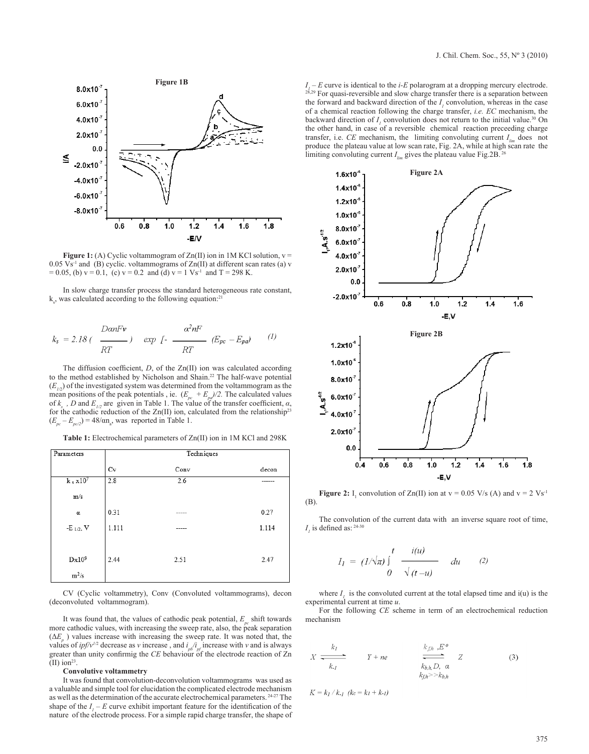

**Figure 1:** (A) Cyclic voltammogram of  $Zn(II)$  ion in 1M KCl solution,  $v =$  $0.05 \text{ Vs}^{-1}$  and (B) cyclic. voltammograms of  $\text{Zn(II)}$  at different scan rates (a) v  $= 0.05$ , (b)  $v = 0.1$ , (c)  $v = 0.2$  and (d)  $v = 1$  Vs<sup>-1</sup> and T = 298 K.

In slow charge transfer process the standard heterogeneous rate constant,  $k_{s}$ , was calculated according to the following equation:<sup>21</sup>

$$
k_s = 2.18 \left( \frac{DanFv}{RT} \right) \exp \left[ - \frac{\alpha^2 nF}{RT} \left( E_{pc} - E_{pa} \right) \right] \tag{1}
$$

The diffusion coefficient, *D*, of the Zn(II) ion was calculated according to the method established by Nicholson and Shain.<sup>22</sup> The half-wave potential  $(E_{1/2})$  of the investigated system was determined from the voltammogram as the mean positions of the peak potentials, ie.  $(E_{pc} + E_{pq})/2$ . The calculated values of  $k_s$ , *D* and  $E_{1/2}$  are given in Table 1. The value of the transfer coefficient,  $\alpha$ , for the cathodic reduction of the  $Zn(II)$  ion, calculated from the relationship<sup>23</sup>  $(E_{pc} - E_{pc/2}) = 48/\alpha n_a$ , was reported in Table 1.

**Table 1:** Electrochemical parameters of Zn(II) ion in 1M KCl and 298K

| Parameters             | Techniques |      |       |
|------------------------|------------|------|-------|
|                        | Cv         | Conv | decon |
| $k_s$ x10 <sup>7</sup> | 2.8        | 2.6  |       |
| m/s                    |            |      |       |
| α                      | 0.31       |      | 0.27  |
| $-E_{1/2}$ , V         | 1.111      |      | 1.114 |
| $Dx10^9$               | 2.44       | 2.51 | 2.47  |
| $m^2/s$                |            |      |       |

CV (Cyclic voltammetry), Conv (Convoluted voltammograms), decon (deconvoluted voltammogram).

It was found that, the values of cathodic peak potential,  $E_p$  shift towards more cathodic values, with increasing the sweep rate, also, the peak separation  $(\Delta E_p)$  values increase with increasing the sweep rate. It was noted that, the values of *ipf*/ $v^{1/2}$  decrease as *v* increase, and  $i_{pb}/i_{pf}$  increase with *v* and is always greater than unity confirmig the *CE* behaviour of the electrode reaction of Zn  $(II)$  ion<sup>23</sup>.

### **Convolutive voltammetry**

It was found that convolution-deconvolution voltammograms was used as a valuable and simple tool for elucidation the complicated electrode mechanism as well as the determination of the accurate electrochemical parameters. 24-27 The shape of the  $I_1 - E$  curve exhibit important feature for the identification of the nature of the electrode process. For a simple rapid charge transfer, the shape of

 $I_1 - E$  curve is identical to the *i-E* polarogram at a dropping mercury electrode.  $28,29$  For quasi-reversible and slow charge transfer there is a separation between the forward and backward direction of the  $I<sub>l</sub>$  convolution, whereas in the case of a chemical reaction following the charge transfer, *i.e. EC* mechanism, the backward direction of  $I_1$  convolution does not return to the initial value.<sup>30</sup> On the other hand, in case of a reversible chemical reaction preceeding charge transfer, i.e. *CE* mechanism, the limiting convoluting current  $I_{i_m}$  does not produce the plateau value at low scan rate, Fig. 2A, while at high scan rate the limiting convoluting current *I<sub>lim</sub>* gives the plateau value Fig.2B.<sup>26</sup>



**Figure 2:** I<sub>1</sub> convolution of Zn(II) ion at  $v = 0.05$  V/s (A) and  $v = 2$  Vs<sup>-1</sup> (B).

The convolution of the current data with an inverse square root of time,  $I<sub>I</sub>$  is defined as:  $^{24-30}$ 

$$
I_{I} = (1/\sqrt{\pi}) \int_{0}^{t} \frac{i(u)}{\sqrt{(t-u)}} du \qquad (2)
$$

where  $I<sub>l</sub>$  is the convoluted current at the total elapsed time and i(u) is the experimental current at time *u*.

For the following *CE* scheme in term of an electrochemical reduction mechanism

$$
X \xrightarrow[k]{} Y + ne \xrightarrow[k]{} k_{fh} \cdot E^o \qquad Z
$$
\n
$$
k_{h,h} D, \alpha \qquad Z \qquad (3)
$$
\n
$$
k_{fh} > k_{hh}
$$

 $K = k_l / k_{-l}$  ( $k_c = k_l + k_{-l}$ )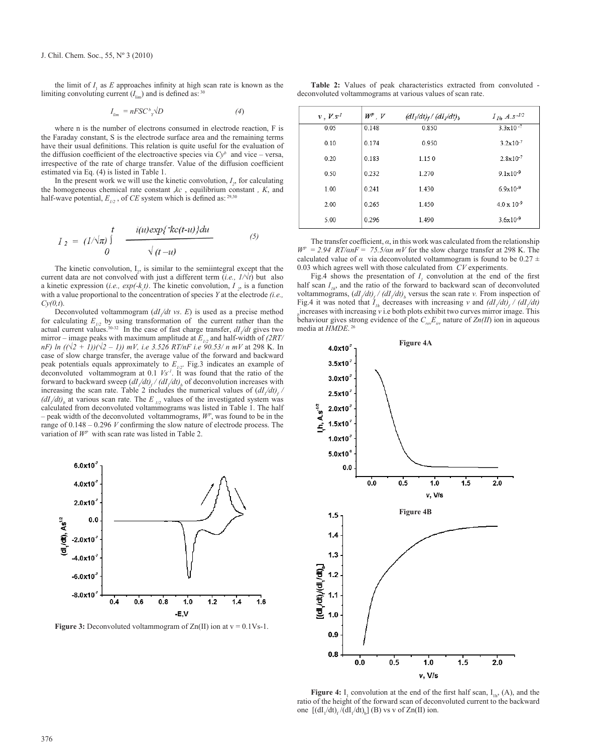the limit of  $I_1$  as  $E$  approaches infinity at high scan rate is known as the limiting convoluting current  $(I_{\text{lim}})$  and is defined as: <sup>30</sup>

$$
I_{lim} = nFSC^b_{Y} \sqrt{D} \tag{4}
$$

where n is the number of electrons consumed in electrode reaction, F is the Faraday constant, S is the electrode surface area and the remaining terms have their usual definitions. This relation is quite useful for the evaluation of the diffusion coefficient of the electroactive species via  $Cy<sup>b</sup>$  and vice – versa, irrespective of the rate of charge transfer. Value of the diffusion coefficient estimated via Eq. (4) is listed in Table 1.

In the present work we will use the kinetic convolution,  $I_2$ , for calculating the homogeneous chemical rate constant ,*kc* , equilibrium constant *, K*, and half-wave potential,  $E_{1/2}$ , of *CE* system which is defined as: 29,30

$$
I_2 = (1/\sqrt{\pi}) \int_{0}^{t} \frac{i(u)exp\{\kappa c(t-u)\}du}{\sqrt{(t-u)}}
$$
(5)

The kinetic convolution,  $I_2$ , is similar to the semiintegral except that the current data are not convolved with just a different term (*i.e., 1/√t*) but also a kinetic expression (*i.e.*,  $exp(-k_c t)$ ). The kinetic convolution,  $I_2$ , is a function with a value proportional to the concentration of species *Y* at the electrode *(i.e., Cy(0,t*).

Deconvoluted voltammogram  $\left(\frac{dI}{dt} v s. E\right)$  is used as a precise method for calculating  $E_{1/2}$  by using transformation of the current rather than the actual current values.<sup>30-32</sup> In the case of fast charge transfer,  $dI/dt$  gives two mirror – image peaks with maximum amplitude at  $E_{1/2}$  and half-width of  $(2RT/2)$ *nF) ln* ((√2 + 1))(√2 – 1)) *mV*, *i.e* 3.526 *RT*/*nF i.e* 90.53/ *n mV* at 298 K. In case of slow charge transfer, the average value of the forward and backward peak potentials equals approximately to  $E_{1/2}$ . Fig.3 indicates an example of deconvoluted voltammogram at 0.1 *Vs-1*. It was found that the ratio of the forward to backward sweep  $\left(\frac{dI}{dt}\right)$  /  $\left(\frac{dI}{dt}\right)$ <sub>b</sub> of deconvolution increases with increasing the scan rate. Table 2 includes the numerical values of  $\left(\frac{dI}{dt}\right)$  $\left(\frac{dI}{dt}\right)$ <sub>b</sub> at various scan rate. The *E*  $_{1/2}$  values of the investigated system was calculated from deconvoluted voltammograms was listed in Table 1. The half – peak width of the deconvoluted voltammograms,  $W<sup>p</sup>$ , was found to be in the range of 0.148 – 0.296 *V* confirming the slow nature of electrode process. The variation of *WP* with scan rate was listed in Table 2.



**Figure 3:** Deconvoluted voltammogram of  $Zn(II)$  ion at  $v = 0.1Vs-1$ .

**Table 2:** Values of peak characteristics extracted from convoluted deconvoluted voltammograms at various values of scan rate.

| $v, V. s^{-1}$ | $W^p$ , $V$ | $(dIl/dt)f / (dIl/dt)b$ | $I_{1h} A.s^{-1/2}$  |
|----------------|-------------|-------------------------|----------------------|
| 0.05           | 0.148       | 0.850                   | $3.3 \times 10^{-7}$ |
| 0.10           | 0.174       | 0.950                   | $3.2 \times 10^{-7}$ |
| 0.20           | 0.183       | 1.150                   | $2.8x10^{-7}$        |
| 0.50           | 0.232       | 1.270                   | $9.1 \times 10^{-9}$ |
| 1.00           | 0.241       | 1.430                   | $6.9x10^{-9}$        |
| 2.00           | 0.265       | 1.450                   | $4.0 \times 10^{-9}$ |
| 5.00           | 0.296       | 1.490                   | $3.6 \times 10^{-9}$ |
|                |             |                         |                      |

The transfer coefficient, *α*, in this work was calculated from the relationship *WP* = *2.94 RT/αnF* = *75.5/αn mV* for the slow charge transfer at 298 K. The calculated value of  $\alpha$  via deconvoluted voltammogram is found to be 0.27  $\pm$ 0.03 which agrees well with those calculated from *CV* experiments.

Fig.4 shows the presentation of  $I<sub>l</sub>$  convolution at the end of the first half scan  $I_{1h}$ , and the ratio of the forward to backward scan of deconvoluted voltammograms,  $\left(\frac{dI}{dt}\right)$  /  $\left(\frac{dI}{dt}\right)$ , versus the scan rate *v*. From inspection of Fig.4 it was noted that  $I_{1h}$  decreases with increasing *v* and  $\left(\frac{dI}{dt}\right)$  / $\left(\frac{dI}{dt}\right)$ *b* increases with increasing *v* i.e both plots exhibit two curves mirror image. This behaviour gives strong evidence of the  $C_{\text{rev}}E_{\text{irr}}$  nature of  $\text{Zn}(II)$  ion in aqueous media at *HMDE*. 26



**Figure 4:**  $I_1$  convolution at the end of the first half scan,  $I_{1h}$ , (A), and the ratio of the height of the forward scan of deconvoluted current to the backward one  $[(\text{d}I_1/\text{d}t)_f/(\text{d}I_1/\text{d}t)_b]$  (B) vs v of Zn(II) ion.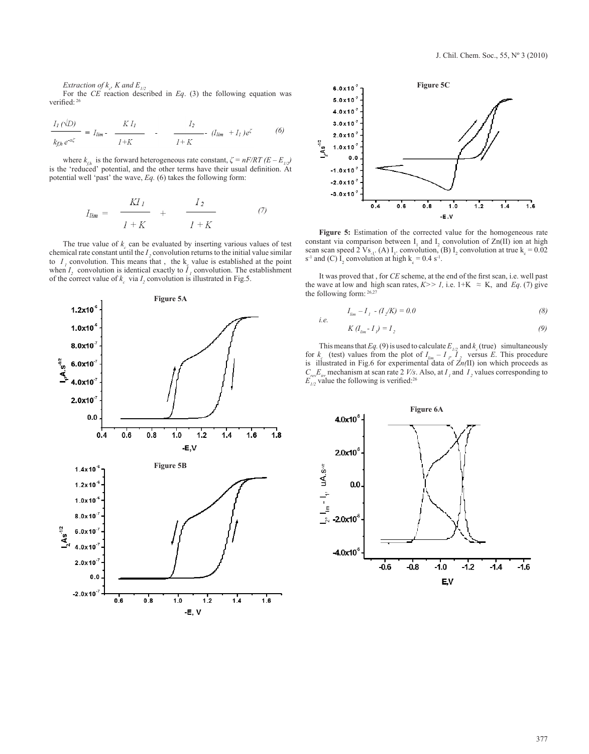*Extraction of*  $k_c$ *, K and*  $E_{1/2}$ 

For the *CE* reaction described in *Eq*. (3) the following equation was verified: 26

$$
\frac{I_I(\sqrt{D})}{k_{f,h}e^{-a\xi}} = I_{lim} - \frac{KI_I}{I+K} - \frac{I_2}{I+K} - (I_{lim} + I_I)e^{\zeta}
$$
 (6)

where  $k_{f_h}$  is the forward heterogeneous rate constant,  $\zeta = nF/RT (E - E_{f_h})$ is the 'reduced' potential, and the other terms have their usual definition. At potential well 'past' the wave, *Eq.* (6) takes the following form:

$$
I_{lim} = \frac{KI_I}{I+K} + \frac{I_2}{I+K} \tag{7}
$$

The true value of  $k_c$  can be evaluated by inserting various values of test chemical rate constant until the  $I$ , convolution returns to the initial value similar to  $I_1$  convolution. This means that, the  $k_g$  value is established at the point when  $I_2$  convolution is identical exactly to  $I_1$  convolution. The establishment of the correct value of  $k_c$  via  $I_2$  convolution is illustrated in Fig.5.





**Figure 5:** Estimation of the corrected value for the homogeneous rate constant via comparison between  $I_1$  and  $I_2$  convolution of Zn(II) ion at high scan scan speed 2 Vs<sub>-1</sub>. (A) I<sub>1</sub>. convolution, (B) I<sub>2</sub> convolution at true k<sub>c</sub> = 0.02  $s^{-1}$  and (C)  $I_2$  convolution at high  $k_c = 0.4 s^{-1}$ .

It was proved that , for *CE* scheme, at the end of the first scan, i.e. well past the wave at low and high scan rates,  $K>> 1$ , i.e. 1+K  $\approx K$ , and *Eq.* (7) give the following form: 26,27

*i.e.* 

$$
I_{\rm lim} - I_{\rm 1} - (I_{\rm 2}/K) = 0.0 \tag{8}
$$

$$
K(I_{\rm lim} - I_{\nu}) = I_2 \tag{9}
$$

This means that *Eq.* (9) is used to calculate  $E_{1/2}$  and  $k_c$  (true) simultaneously for  $k_c$  (test) values from the plot of  $I_{lim} - I_p I_2$  versus *E*. This procedure is illustrated in Fig.6 for experimental data of  $Zn(\text{II})$  ion which proceeds as  $C_{\text{rev}}E_{\text{irr}}$  mechanism at scan rate 2 *V/s*. Also, at  $I_i$  and  $I_2$  values corresponding to  $E_{1/2}$  value the following is verified:<sup>26</sup>

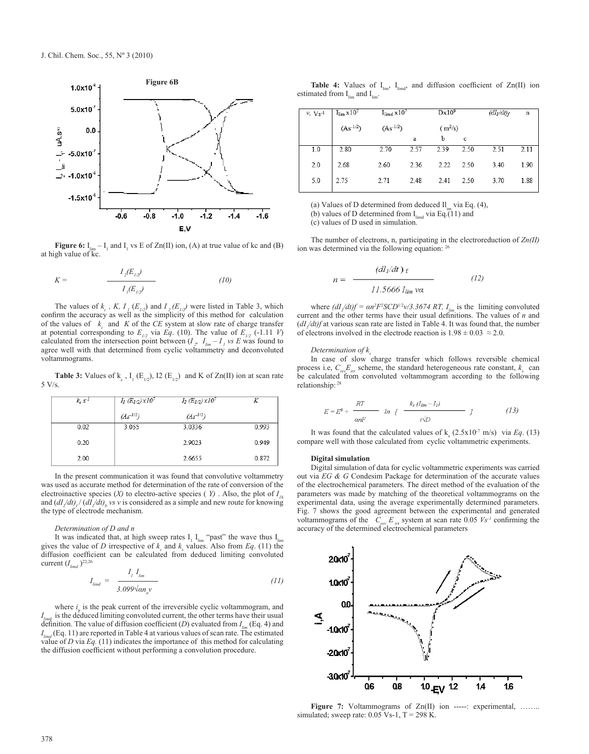

**Figure 6:**  $I_{\text{lim}} - I_1$  and  $I_1$  vs E of Zn(II) ion, (A) at true value of kc and (B) at high value of kc.

$$
K = \frac{I_2(E_{1/2})}{I_1(E_{1/2})} \tag{10}
$$

The values of  $k_c$ , K,  $I_l(E_{1/2})$  and  $I_2(E_{1/2})$  were listed in Table 3, which confirm the accuracy as well as the simplicity of this method for calculation of the values of  $k_c$  and  $K$  of the  $CE$  system at slow rate of charge transfer at potential corresponding to  $E_{1/2}$  via *Eq.* (10). The value of  $E_{1/2}$  (-1.11 *V*) calculated from the intersection point between  $(I, I_{lm} - I, \nu s E)$  was found to agree well with that determined from cyclic voltammetry and deconvoluted voltammograms.

**Table 3:** Values of  $k_c$ ,  $I_1(E_{1/2})$ , I2  $(E_{1/2})$  and K of Zn(II) ion at scan rate 5 V/s.

| $k_c s^{-1}$ | $I_1(E_{1/2}) \times 10^7$ | $I_2(E_{1/2}) \times 10^7$ |       |
|--------------|----------------------------|----------------------------|-------|
|              | $(As^{-1/2})$              | $(As^{-1/2})$              |       |
| 0.02         | 3.055                      | 3.0336                     | 0.993 |
| 0.20         |                            | 2.9023                     | 0.949 |
| 2.00         |                            | 2.6655                     | 0.872 |

In the present communication it was found that convolutive voltammetry was used as accurate method for determination of the rate of conversion of the electroinactive species (*X*) to electro-active species (*Y*). Also, the plot of  $I<sub>th</sub>$ and  $\left(\frac{dI}{dt}\right)$  ( $\frac{dI}{dt}$ )<sub>b</sub> vs *v* is considered as a simple and new route for knowing the type of electrode mechanism.

### *Determination of D and n*

It was indicated that, at high sweep rates  $I_1$   $I_{\text{lim}}$  "past" the wave thus  $I_{\text{lim}}$ gives the value of *D* irrespective of  $k_c$  and  $k_s$  values. Also from *Eq*. (11) the diffusion coefficient can be calculated from deduced limiting convoluted current  $(I_{\text{limd}})^{22,26}$ 

$$
I_{\text{limd}} = \frac{I_{\text{1}} I_{\text{lim}}}{3.099 \sqrt{\alpha n_a v}} \tag{11}
$$

where  $i<sub>p</sub>$  is the peak current of the irreversible cyclic voltammogram, and *Ilim*<sup>d</sup> is the deduced limiting convoluted current, the other terms have their usual definition. The value of diffusion coefficient (*D*) evaluated from  $I_{lim}$  (Eq. 4) and  $I_{\text{fund}}$  (Eq. 11) are reported in Table 4 at various values of scan rate. The estimated value of *D* via *Eq.* (11) indicates the importance of this method for calculating the diffusion coefficient without performing a convolution procedure.

**Table 4:** Values of  $I_{\text{lim}}$ ,  $I_{\text{limd}}$ , and diffusion coefficient of  $Zn(II)$  ion estimated from  $I_{lim}$  and  $I_{lim}$ .

| $v$ , $Vs$ <sup>-1</sup> | $I_{\text{lim}}$ x 10 <sup>7</sup>        | $I_{\text{limd}} x 10^7$                  |      | $Dx10^9$  |             | (dI <sub>l</sub> /dt) <sub>f</sub> | $\mathbf n$ |
|--------------------------|-------------------------------------------|-------------------------------------------|------|-----------|-------------|------------------------------------|-------------|
|                          | $\left( \mathrm{As}^{\text{-}1/2}\right)$ | $\left( \mathrm{As}^{\text{-}1/2}\right)$ |      | $(m^2/s)$ |             |                                    |             |
|                          |                                           |                                           | a    | b         | $\mathbf c$ |                                    |             |
| 1.0                      | 2.80                                      | 2.70                                      | 2.57 | 2.39      | 2.50        | 2.51                               | 2.11        |
| 2.0                      | 2.68                                      | 2.60                                      | 2.36 | 2.22      | 2.50        | 3.40                               | 1.90        |
| 5.0                      | 2.75                                      | 2.71                                      | 2.48 | 2.41      | 2.50        | 3.70                               | 1.88        |

(a) Values of D determined from deduced  $II<sub>im</sub>$  via Eq. (4), (b) values of D determined from  $I_{\text{limd}}$  via Eq.(11) and (c) values of D used in simulation.

The number of electrons, n, participating in the electroreduction of *Zn(II)* ion was determined via the following equation: 26

$$
n = \frac{(dI_1/dt) \, \text{f}}{11.5666 \, I_{\text{lim}} \, \text{v}\alpha} \tag{12}
$$

where  $\left(\frac{dI}{dt}\right)f = \frac{an^2F^2SCD^{1/2}v}{3.3674 RT}$ ,  $I_{lim}$  is the limiting convoluted current and the other terms have their usual definitions. The values of *n* and  $\frac{dI}{dt}$  at various scan rate are listed in Table 4. It was found that, the number of electrons involved in the electrode reaction is  $1.98 \pm 0.03 \approx 2.0$ .

#### *Determination of k<sub>s</sub>*

In case of slow charge transfer which follows reversible chemical process i.e,  $C_{rev}E_{irr}$  scheme, the standard heterogeneous rate constant,  $k_s$  can be calculated from convoluted voltammogram according to the following relationship: 28

$$
E = E^{0} + \frac{RT}{\omega nF} \quad \text{ln} \quad \int \frac{k_{s} (I_{lim} - I_{1})}{i\sqrt{D}} \quad J \tag{13}
$$

It was found that the calculated values of  $k_s$  (2.5x10<sup>-7</sup> m/s) via *Eq*. (13) compare well with those calculated from cyclic voltammetric experiments.

#### **Digital simulation**

Digital simulation of data for cyclic voltammetric experiments was carried out via *EG & G* Condesim Package for determination of the accurate values of the electrochemical parameters. The direct method of the evaluation of the parameters was made by matching of the theoretical voltammograms on the experimental data, using the average experimentally determined parameters. Fig. 7 shows the good agreement between the experimental and generated voltammograms of the  $C_{rev} E_{irr}$  system at scan rate 0.05  $Vs^1$  confirming the accuracy of the determined electrochemical parameters



Figure 7: Voltammograms of Zn(II) ion -----: experimental, ........ simulated; sweep rate:  $0.05$  Vs-1, T = 298 K.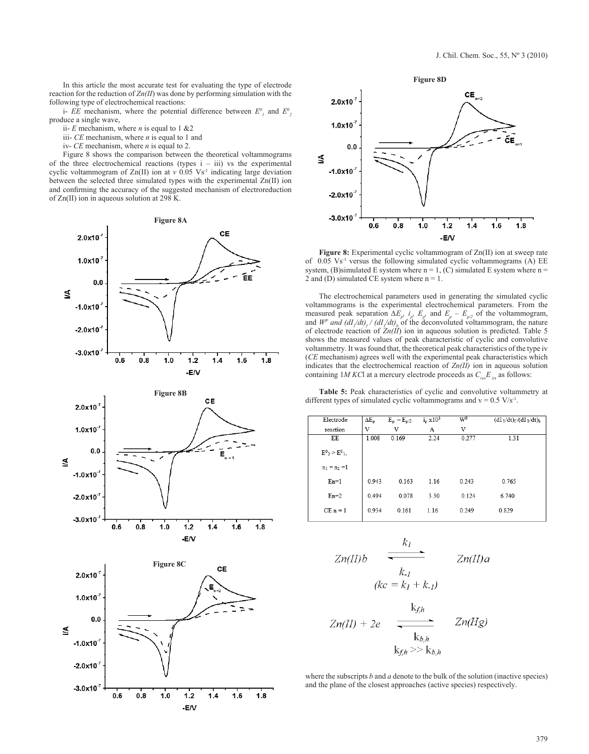In this article the most accurate test for evaluating the type of electrode reaction for the reduction of *Zn(II*) was done by performing simulation with the following type of electrochemical reactions:

i- *EE* mechanism, where the potential difference between  $E^0$ <sub>*l*</sub> and  $E^0$ <sub>2</sub> produce a single wave,

- ii- *E* mechanism, where *n* is equal to 1 &2
- iii- *CE* mechanism, where *n* is equal to 1 and
- iv- *CE* mechanism, where *n* is equal to 2.

Figure 8 shows the comparison between the theoretical voltammograms of the three electrochemical reactions (types  $i - iii$ ) vs the experimental cyclic voltammogram of Zn(II) ion at  $v$  0.05 Vs<sup>-1</sup> indicating large deviation between the selected three simulated types with the experimental Zn(II) ion and confirming the accuracy of the suggested mechanism of electroreduction of Zn(II) ion in aqueous solution at 298 K.



 $-1.0x10^{7}$ 

 $-2.0x10$ 

 $-3.0x10$ 

 $0.6$ 

 $0.8$ 

 $1.0$ 

 $1.2$ 

-E/V

 $1.4$ 

 $1.6$ 

 $1.8$ 



**Figure 8:** Experimental cyclic voltammogram of Zn(II) ion at sweep rate of  $0.05$  Vs<sup>-1</sup> versus the following simulated cyclic voltammograms (A) EE system, (B)simulated E system where  $n = 1$ , (C) simulated E system where  $n =$ 2 and (D) simulated CE system where  $n = 1$ .

The electrochemical parameters used in generating the simulated cyclic voltammograms is the experimental electrochemical parameters. From the measured peak separation  $\Delta E_p$ ,  $i_p$ ,  $E_p$ , and  $E_p - E_{p/2}$  of the voltammogram, and  $W^p$  and  $\left(\frac{dI}{dt}\right)$  /  $\left(\frac{dI}{dt}\right)$  of the deconvoluted voltammogram, the nature of electrode reaction of  $Zn(\tilde{II})$  ion in aqueous solution is predicted. Table 5 shows the measured values of peak characteristic of cyclic and convolutive voltammetry. It was found that, the theoretical peak characteristics of the type iv (*CE* mechanism) agrees well with the experimental peak characteristics which indicates that the electrochemical reaction of *Zn(II)* ion in aqueous solution containing 1*M KC*l at a mercury electrode proceeds as  $C_{rev}E_{irr}$  as follows:

**Table 5:** Peak characteristics of cyclic and convolutive voltammetry at different types of simulated cyclic voltammograms and  $v = 0.5$  V/s<sup>-1</sup>.

| Electrode               | $\Delta E_p$ | $E_p - E_{p/2}$ | $i_p \times 10^3$ | $W^{\text{P}}$ | $(dI_1/dt)_f/(dI_1/dt)_b$ |
|-------------------------|--------------|-----------------|-------------------|----------------|---------------------------|
| reaction                | V            | V               | A                 | V              |                           |
| EE                      | 1.008        | 0.169           | 2.24              | 0.277          | 1.31                      |
| $E^0{}_2$ > $E^0{}_1$ , |              |                 |                   |                |                           |
| $n_1 = n_2 = 1$         |              |                 |                   |                |                           |
| $En=1$                  | 0.943        | 0.163           | 1.16              | 0.243          | 0.765                     |
| $En=2$                  | 0.494        | 0.078           | 3.30              | 0.124          | 6.740                     |
| $CE n = 1$              | 0.934        | 0.161           | 1.16              | 0.249          | 0.829                     |

$$
Zn(II)b \xrightarrow{k_1} Zn(II)a
$$
  
\n
$$
(kc = k_1 + k_1)
$$
  
\n
$$
\frac{k_{fh}}{k_{fh}}
$$
  
\n
$$
Zn(II) + 2e \xrightarrow{k_{bh}} Zn(Hg)
$$

where the subscripts *b* and *a* denote to the bulk of the solution (inactive species) and the plane of the closest approaches (active species) respectively.

 $k_{fh} >> k_{b,h}$